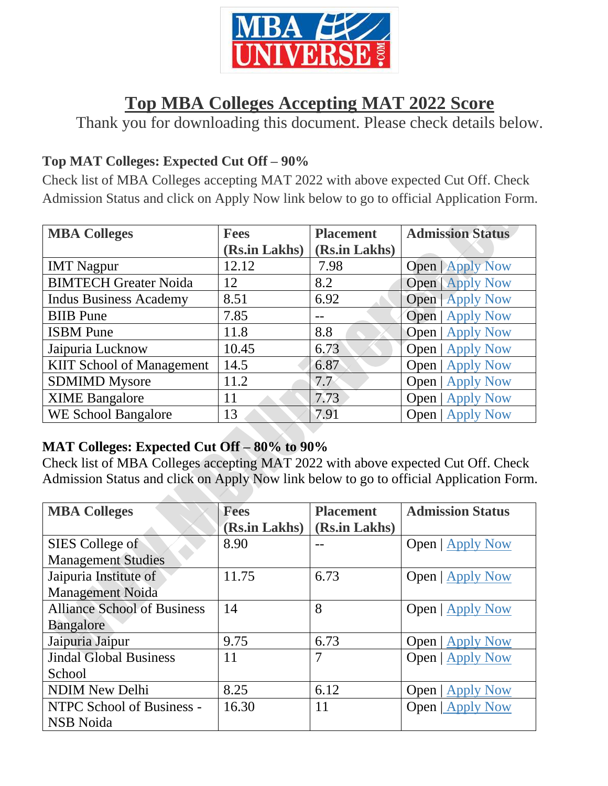

# **Top MBA Colleges Accepting MAT 2022 Score**

Thank you for downloading this document. Please check details below.

## **Top MAT Colleges: Expected Cut Off – 90%**

Check list of MBA Colleges accepting MAT 2022 with above expected Cut Off. Check Admission Status and click on Apply Now link below to go to official Application Form.

| <b>MBA Colleges</b>              | <b>Fees</b>   | <b>Placement</b> | <b>Admission Status</b> |
|----------------------------------|---------------|------------------|-------------------------|
|                                  | (Rs.in Lakhs) | (Rs.in Lakhs)    |                         |
| <b>IMT</b> Nagpur                | 12.12         | 7.98             | <b>Open   Apply Now</b> |
| <b>BIMTECH Greater Noida</b>     | 12            | 8.2              | <b>Open</b>   Apply Now |
| <b>Indus Business Academy</b>    | 8.51          | 6.92             | <b>Open</b>   Apply Now |
| <b>BIIB</b> Pune                 | 7.85          |                  | <b>Open</b>   Apply Now |
| <b>ISBM</b> Pune                 | 11.8          | 8.8              | <b>Open</b>   Apply Now |
| Jaipuria Lucknow                 | 10.45         | 6.73             | Open   Apply Now        |
| <b>KIIT School of Management</b> | 14.5          | 6.87             | <b>Open   Apply Now</b> |
| <b>SDMIMD Mysore</b>             | 11.2          | 7.7              | <b>Open</b>   Apply Now |
| <b>XIME Bangalore</b>            | 11            | 7.73             | <b>Open</b>   Apply Now |
| <b>WE School Bangalore</b>       | 13            | 7.91             | <b>Open   Apply Now</b> |

#### **MAT Colleges: Expected Cut Off – 80% to 90%**

Check list of MBA Colleges accepting MAT 2022 with above expected Cut Off. Check Admission Status and click on Apply Now link below to go to official Application Form.

| <b>MBA Colleges</b>                | <b>Fees</b>   | <b>Placement</b> | <b>Admission Status</b> |
|------------------------------------|---------------|------------------|-------------------------|
|                                    | (Rs.in Lakhs) | (Rs.in Lakhs)    |                         |
| SIES College of                    | 8.90          |                  | <b>Open</b>   Apply Now |
| <b>Management Studies</b>          |               |                  |                         |
| Jaipuria Institute of              | 11.75         | 6.73             | Open   Apply Now        |
| <b>Management Noida</b>            |               |                  |                         |
| <b>Alliance School of Business</b> | 14            | 8                | <b>Open</b>   Apply Now |
| <b>Bangalore</b>                   |               |                  |                         |
| Jaipuria Jaipur                    | 9.75          | 6.73             | <b>Open</b>   Apply Now |
| <b>Jindal Global Business</b>      | 11            | 7                | <b>Open</b>   Apply Now |
| School                             |               |                  |                         |
| <b>NDIM New Delhi</b>              | 8.25          | 6.12             | <b>Open</b>   Apply Now |
| NTPC School of Business -          | 16.30         | 11               | Open   Apply Now        |
| <b>NSB</b> Noida                   |               |                  |                         |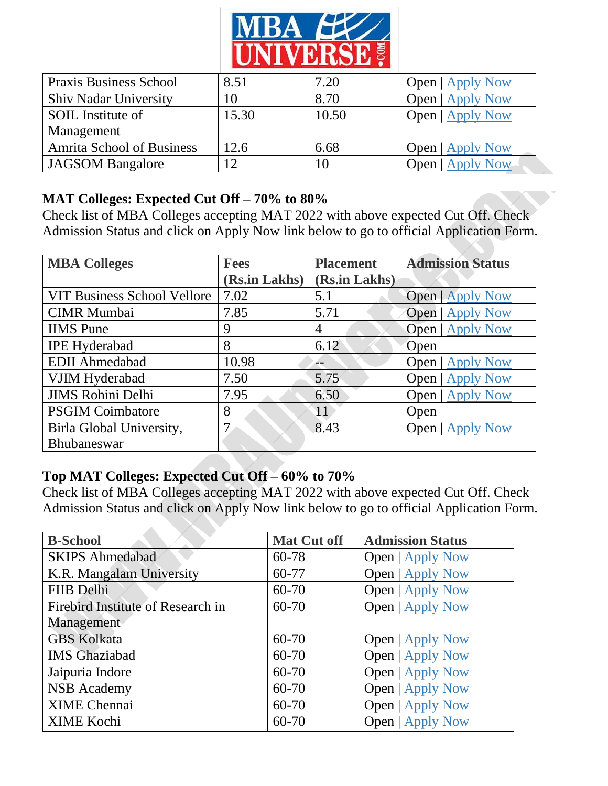

| <b>Praxis Business School</b>    | 8.51  | 7.20  | <b>Open</b>   Apply Now |
|----------------------------------|-------|-------|-------------------------|
| <b>Shiv Nadar University</b>     | 10    | 8.70  | <b>Open</b>   Apply Now |
| SOIL Institute of                | 15.30 | 10.50 | <b>Open</b>   Apply Now |
| Management                       |       |       |                         |
| <b>Amrita School of Business</b> | 12.6  | 6.68  | <b>Open</b>   Apply Now |
| JAGSOM Bangalore                 | 12    | 10    | Open   Apply Now        |

#### **MAT Colleges: Expected Cut Off – 70% to 80%**

Check list of MBA Colleges accepting MAT 2022 with above expected Cut Off. Check Admission Status and click on Apply Now link below to go to official Application Form.

| <b>MBA Colleges</b>                | <b>Fees</b>   | <b>Placement</b> | <b>Admission Status</b> |
|------------------------------------|---------------|------------------|-------------------------|
|                                    | (Rs.in Lakhs) | (Rs.in Lakhs)    |                         |
| <b>VIT Business School Vellore</b> | 7.02          | 5.1              | Open   Apply Now        |
| <b>CIMR</b> Mumbai                 | 7.85          | 5.71             | Open   Apply Now        |
| <b>IIMS</b> Pune                   | 9             | 4                | Open   Apply Now        |
| <b>IPE Hyderabad</b>               | 8             | 6.12             | Open                    |
| <b>EDII</b> Ahmedabad              | 10.98         |                  | Open   Apply Now        |
| VJIM Hyderabad                     | 7.50          | 5.75             | Open   Apply Now        |
| <b>JIMS Rohini Delhi</b>           | 7.95          | 6.50             | <b>Open</b>   Apply Now |
| <b>PSGIM Coimbatore</b>            | 8             | $\overline{11}$  | Open                    |
| Birla Global University,           | 7             | 8.43             | <b>Open</b>   Apply Now |
| Bhubaneswar                        |               |                  |                         |

### **Top MAT Colleges: Expected Cut Off – 60% to 70%**

Check list of MBA Colleges accepting MAT 2022 with above expected Cut Off. Check Admission Status and click on Apply Now link below to go to official Application Form.

| <b>B-School</b>                   | <b>Mat Cut off</b> | <b>Admission Status</b> |
|-----------------------------------|--------------------|-------------------------|
| <b>SKIPS Ahmedabad</b>            | 60-78              | <b>Open</b>   Apply Now |
| K.R. Mangalam University          | 60-77              | <b>Open</b>   Apply Now |
| FIIB Delhi                        | $60 - 70$          | <b>Open</b>   Apply Now |
| Firebird Institute of Research in | 60-70              | <b>Open   Apply Now</b> |
| Management                        |                    |                         |
| <b>GBS Kolkata</b>                | $60 - 70$          | <b>Open</b>   Apply Now |
| <b>IMS</b> Ghaziabad              | $60 - 70$          | <b>Open</b>   Apply Now |
| Jaipuria Indore                   | $60 - 70$          | <b>Open   Apply Now</b> |
| <b>NSB</b> Academy                | $60 - 70$          | <b>Open   Apply Now</b> |
| <b>XIME Chennai</b>               | $60 - 70$          | <b>Open   Apply Now</b> |
| <b>XIME Kochi</b>                 | $60 - 70$          | <b>Open</b>   Apply Now |